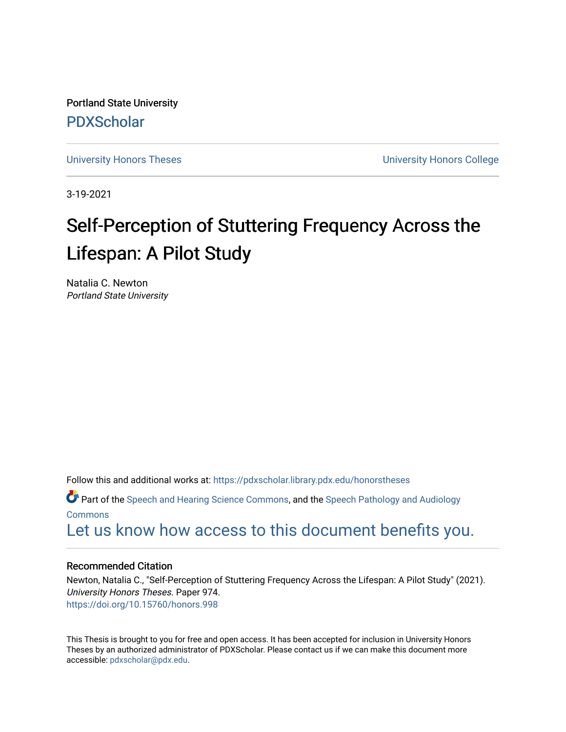Portland State University [PDXScholar](https://pdxscholar.library.pdx.edu/)

[University Honors Theses](https://pdxscholar.library.pdx.edu/honorstheses) **University Honors College** 

3-19-2021

# Self-Perception of Stuttering Frequency Across the Lifespan: A Pilot Study

Natalia C. Newton Portland State University

Follow this and additional works at: [https://pdxscholar.library.pdx.edu/honorstheses](https://pdxscholar.library.pdx.edu/honorstheses?utm_source=pdxscholar.library.pdx.edu%2Fhonorstheses%2F974&utm_medium=PDF&utm_campaign=PDFCoverPages) 

Part of the [Speech and Hearing Science Commons](http://network.bepress.com/hgg/discipline/1033?utm_source=pdxscholar.library.pdx.edu%2Fhonorstheses%2F974&utm_medium=PDF&utm_campaign=PDFCoverPages), and the [Speech Pathology and Audiology](http://network.bepress.com/hgg/discipline/1035?utm_source=pdxscholar.library.pdx.edu%2Fhonorstheses%2F974&utm_medium=PDF&utm_campaign=PDFCoverPages) **[Commons](http://network.bepress.com/hgg/discipline/1035?utm_source=pdxscholar.library.pdx.edu%2Fhonorstheses%2F974&utm_medium=PDF&utm_campaign=PDFCoverPages)** 

[Let us know how access to this document benefits you.](http://library.pdx.edu/services/pdxscholar-services/pdxscholar-feedback/) 

## Recommended Citation

Newton, Natalia C., "Self-Perception of Stuttering Frequency Across the Lifespan: A Pilot Study" (2021). University Honors Theses. Paper 974. <https://doi.org/10.15760/honors.998>

This Thesis is brought to you for free and open access. It has been accepted for inclusion in University Honors Theses by an authorized administrator of PDXScholar. Please contact us if we can make this document more accessible: [pdxscholar@pdx.edu.](mailto:pdxscholar@pdx.edu)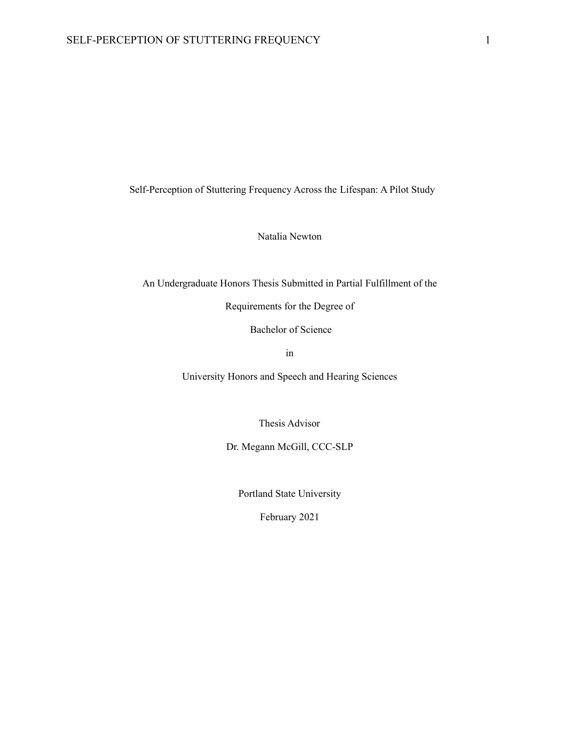Self-Perception of Stuttering Frequency Across the Lifespan: A Pilot Study

Natalia Newton

An Undergraduate Honors Thesis Submitted in Partial Fulfillment of the

Requirements for the Degree of

Bachelor of Science

in

University Honors and Speech and Hearing Sciences

Thesis Advisor

Dr. Megann McGill, CCC-SLP

Portland State University

February 2021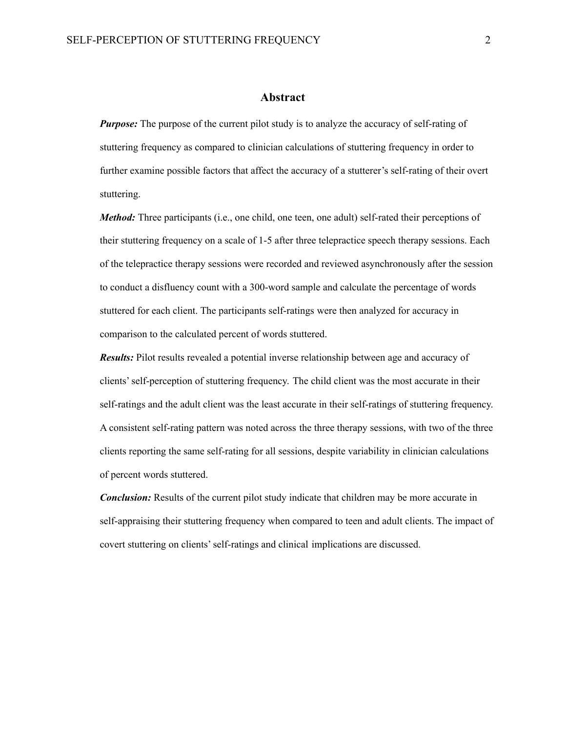### **Abstract**

*Purpose:* The purpose of the current pilot study is to analyze the accuracy of self-rating of stuttering frequency as compared to clinician calculations of stuttering frequency in order to further examine possible factors that affect the accuracy of a stutterer's self-rating of their overt stuttering.

*Method:* Three participants (i.e., one child, one teen, one adult) self-rated their perceptions of their stuttering frequency on a scale of 1-5 after three telepractice speech therapy sessions. Each of the telepractice therapy sessions were recorded and reviewed asynchronously after the session to conduct a disfluency count with a 300-word sample and calculate the percentage of words stuttered for each client. The participants self-ratings were then analyzed for accuracy in comparison to the calculated percent of words stuttered.

*Results:* Pilot results revealed a potential inverse relationship between age and accuracy of clients'self-perception of stuttering frequency. The child client was the most accurate in their self-ratings and the adult client was the least accurate in their self-ratings of stuttering frequency. A consistent self-rating pattern was noted across the three therapy sessions, with two of the three clients reporting the same self-rating for all sessions, despite variability in clinician calculations of percent words stuttered.

*Conclusion:* Results of the current pilot study indicate that children may be more accurate in self-appraising their stuttering frequency when compared to teen and adult clients. The impact of covert stuttering on clients'self-ratings and clinical implications are discussed.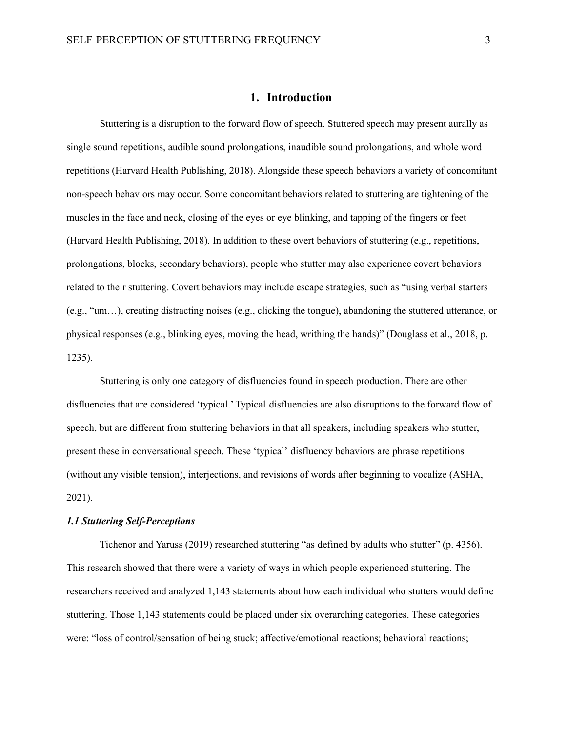# **1. Introduction**

Stuttering is a disruption to the forward flow of speech. Stuttered speech may present aurally as single sound repetitions, audible sound prolongations, inaudible sound prolongations, and whole word repetitions (Harvard Health Publishing, 2018). Alongside these speech behaviors a variety of concomitant non-speech behaviors may occur. Some concomitant behaviors related to stuttering are tightening of the muscles in the face and neck, closing of the eyes or eye blinking, and tapping of the fingers or feet (Harvard Health Publishing, 2018). In addition to these overt behaviors of stuttering (e.g., repetitions, prolongations, blocks, secondary behaviors), people who stutter may also experience covert behaviors related to their stuttering. Covert behaviors may include escape strategies, such as "using verbal starters (e.g., "um…), creating distracting noises (e.g., clicking the tongue), abandoning the stuttered utterance, or physical responses (e.g., blinking eyes, moving the head, writhing the hands)" (Douglass et al., 2018, p. 1235).

Stuttering is only one category of disfluencies found in speech production. There are other disfluencies that are considered 'typical.' Typical disfluencies are also disruptions to the forward flow of speech, but are different from stuttering behaviors in that all speakers, including speakers who stutter, present these in conversational speech. These 'typical' disfluency behaviors are phrase repetitions (without any visible tension), interjections, and revisions of words after beginning to vocalize (ASHA, 2021).

#### *1.1 Stuttering Self-Perceptions*

Tichenor and Yaruss (2019) researched stuttering "as defined by adults who stutter" (p. 4356). This research showed that there were a variety of ways in which people experienced stuttering. The researchers received and analyzed 1,143 statements about how each individual who stutters would define stuttering. Those 1,143 statements could be placed under six overarching categories. These categories were: "loss of control/sensation of being stuck; affective/emotional reactions; behavioral reactions;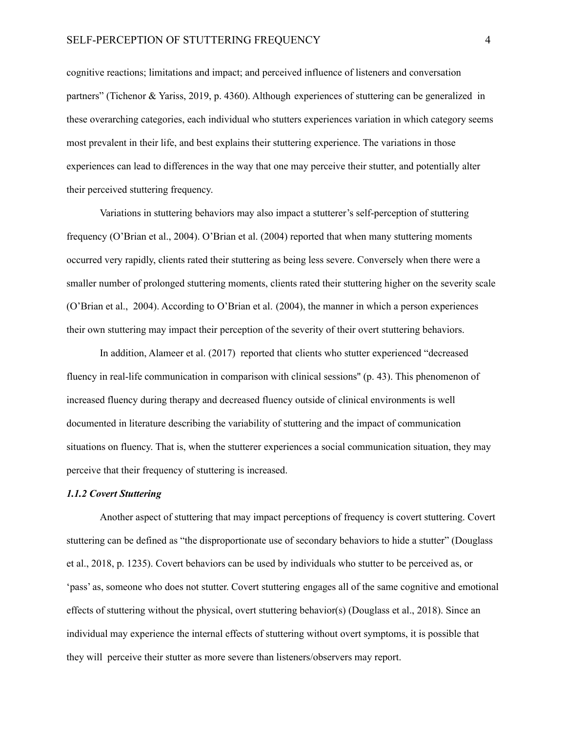cognitive reactions; limitations and impact; and perceived influence of listeners and conversation partners" (Tichenor & Yariss, 2019, p. 4360). Although experiences of stuttering can be generalized in these overarching categories, each individual who stutters experiences variation in which category seems most prevalent in their life, and best explains their stuttering experience. The variations in those experiences can lead to differences in the way that one may perceive their stutter, and potentially alter their perceived stuttering frequency.

Variations in stuttering behaviors may also impact a stutterer's self-perception of stuttering frequency (O'Brian et al., 2004). O'Brian et al. (2004) reported that when many stuttering moments occurred very rapidly, clients rated their stuttering as being less severe. Conversely when there were a smaller number of prolonged stuttering moments, clients rated their stuttering higher on the severity scale (O'Brian et al., 2004). According to O'Brian et al. (2004), the manner in which a person experiences their own stuttering may impact their perception of the severity of their overt stuttering behaviors.

In addition, Alameer et al. (2017) reported that clients who stutter experienced "decreased fluency in real-life communication in comparison with clinical sessions'' (p. 43). This phenomenon of increased fluency during therapy and decreased fluency outside of clinical environments is well documented in literature describing the variability of stuttering and the impact of communication situations on fluency. That is, when the stutterer experiences a social communication situation, they may perceive that their frequency of stuttering is increased.

# *1.1.2 Covert Stuttering*

Another aspect of stuttering that may impact perceptions of frequency is covert stuttering. Covert stuttering can be defined as "the disproportionate use of secondary behaviors to hide a stutter" (Douglass et al., 2018, p. 1235). Covert behaviors can be used by individuals who stutter to be perceived as, or 'pass' as, someone who does not stutter. Covert stuttering engages all of the same cognitive and emotional effects of stuttering without the physical, overt stuttering behavior(s) (Douglass et al., 2018). Since an individual may experience the internal effects of stuttering without overt symptoms, it is possible that they will perceive their stutter as more severe than listeners/observers may report.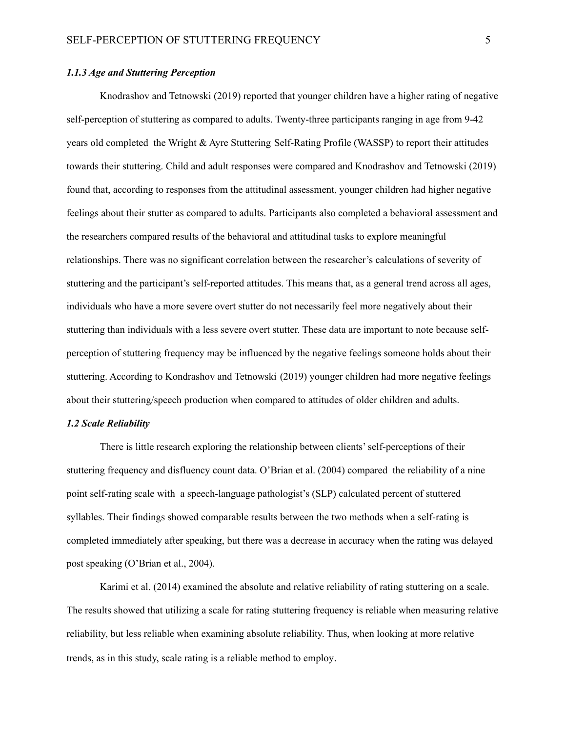## *1.1.3 Age and Stuttering Perception*

Knodrashov and Tetnowski (2019) reported that younger children have a higher rating of negative self-perception of stuttering as compared to adults. Twenty-three participants ranging in age from 9-42 years old completed the Wright & Ayre Stuttering Self-Rating Profile (WASSP) to report their attitudes towards their stuttering. Child and adult responses were compared and Knodrashov and Tetnowski (2019) found that, according to responses from the attitudinal assessment, younger children had higher negative feelings about their stutter as compared to adults. Participants also completed a behavioral assessment and the researchers compared results of the behavioral and attitudinal tasks to explore meaningful relationships. There was no significant correlation between the researcher's calculations of severity of stuttering and the participant's self-reported attitudes. This means that, as a general trend across all ages, individuals who have a more severe overt stutter do not necessarily feel more negatively about their stuttering than individuals with a less severe overt stutter. These data are important to note because selfperception of stuttering frequency may be influenced by the negative feelings someone holds about their stuttering. According to Kondrashov and Tetnowski (2019) younger children had more negative feelings about their stuttering/speech production when compared to attitudes of older children and adults.

#### *1.2 Scale Reliability*

There is little research exploring the relationship between clients'self-perceptions of their stuttering frequency and disfluency count data. O'Brian et al. (2004) compared the reliability of a nine point self-rating scale with a speech-language pathologist's (SLP) calculated percent of stuttered syllables. Their findings showed comparable results between the two methods when a self-rating is completed immediately after speaking, but there was a decrease in accuracy when the rating was delayed post speaking (O'Brian et al., 2004).

Karimi et al. (2014) examined the absolute and relative reliability of rating stuttering on a scale. The results showed that utilizing a scale for rating stuttering frequency is reliable when measuring relative reliability, but less reliable when examining absolute reliability. Thus, when looking at more relative trends, as in this study, scale rating is a reliable method to employ.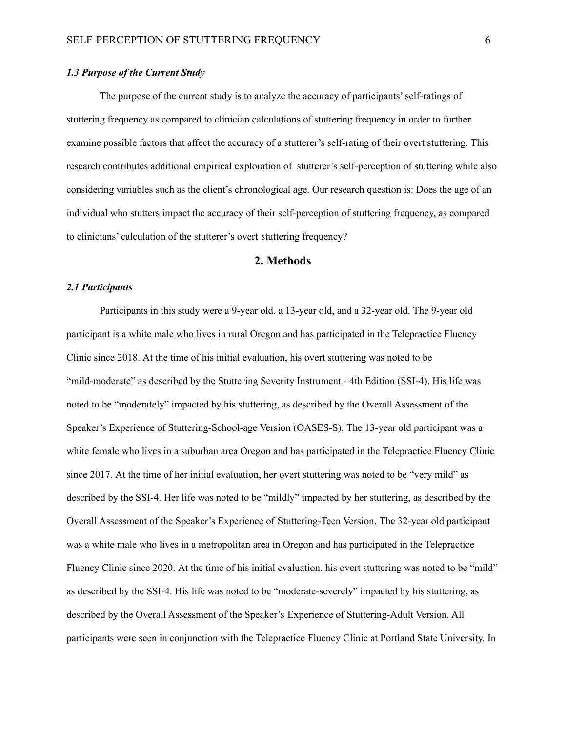# *1.3 Purpose of the Current Study*

The purpose of the current study is to analyze the accuracy of participants' self-ratings of stuttering frequency as compared to clinician calculations of stuttering frequency in order to further examine possible factors that affect the accuracy of a stutterer's self-rating of their overt stuttering. This research contributes additional empirical exploration of stutterer's self-perception of stuttering while also considering variables such as the client's chronological age. Our research question is: Does the age of an individual who stutters impact the accuracy of their self-perception of stuttering frequency, as compared to clinicians' calculation of the stutterer's overt stuttering frequency?

# **2. Methods**

#### *2.1 Participants*

Participants in this study were a 9-year old, a 13-year old, and a 32-year old. The 9-year old participant is a white male who lives in rural Oregon and has participated in the Telepractice Fluency Clinic since 2018. At the time of his initial evaluation, his overt stuttering was noted to be "mild-moderate" as described by the Stuttering Severity Instrument - 4th Edition (SSI-4). His life was noted to be "moderately" impacted by his stuttering, as described by the Overall Assessment of the Speaker's Experience of Stuttering-School-age Version (OASES-S). The 13-year old participant was a white female who lives in a suburban area Oregon and has participated in the Telepractice Fluency Clinic since 2017. At the time of her initial evaluation, her overt stuttering was noted to be "very mild" as described by the SSI-4. Her life was noted to be "mildly" impacted by her stuttering, as described by the Overall Assessment of the Speaker's Experience of Stuttering-Teen Version. The 32-year old participant was a white male who lives in a metropolitan area in Oregon and has participated in the Telepractice Fluency Clinic since 2020. At the time of his initial evaluation, his overt stuttering was noted to be "mild" as described by the SSI-4. His life was noted to be "moderate-severely" impacted by his stuttering, as described by the Overall Assessment of the Speaker's Experience of Stuttering-Adult Version. All participants were seen in conjunction with the Telepractice Fluency Clinic at Portland State University. In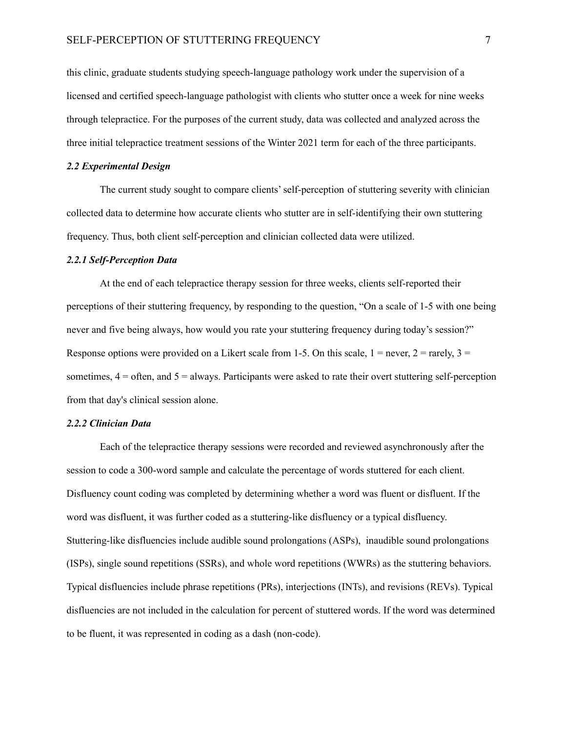this clinic, graduate students studying speech-language pathology work under the supervision of a licensed and certified speech-language pathologist with clients who stutter once a week for nine weeks through telepractice. For the purposes of the current study, data was collected and analyzed across the three initial telepractice treatment sessions of the Winter 2021 term for each of the three participants.

#### *2.2 Experimental Design*

The current study sought to compare clients'self-perception of stuttering severity with clinician collected data to determine how accurate clients who stutter are in self-identifying their own stuttering frequency. Thus, both client self-perception and clinician collected data were utilized.

## *2.2.1 Self-Perception Data*

At the end of each telepractice therapy session for three weeks, clients self-reported their perceptions of their stuttering frequency, by responding to the question, "On a scale of 1-5 with one being never and five being always, how would you rate your stuttering frequency during today's session?" Response options were provided on a Likert scale from 1-5. On this scale,  $1 =$  never,  $2 =$  rarely,  $3 =$ sometimes,  $4 =$  often, and  $5 =$  always. Participants were asked to rate their overt stuttering self-perception from that day's clinical session alone.

## *2.2.2 Clinician Data*

Each of the telepractice therapy sessions were recorded and reviewed asynchronously after the session to code a 300-word sample and calculate the percentage of words stuttered for each client. Disfluency count coding was completed by determining whether a word was fluent or disfluent. If the word was disfluent, it was further coded as a stuttering-like disfluency or a typical disfluency. Stuttering-like disfluencies include audible sound prolongations (ASPs), inaudible sound prolongations (ISPs), single sound repetitions (SSRs), and whole word repetitions (WWRs) as the stuttering behaviors. Typical disfluencies include phrase repetitions (PRs), interjections (INTs), and revisions (REVs). Typical disfluencies are not included in the calculation for percent of stuttered words. If the word was determined to be fluent, it was represented in coding as a dash (non-code).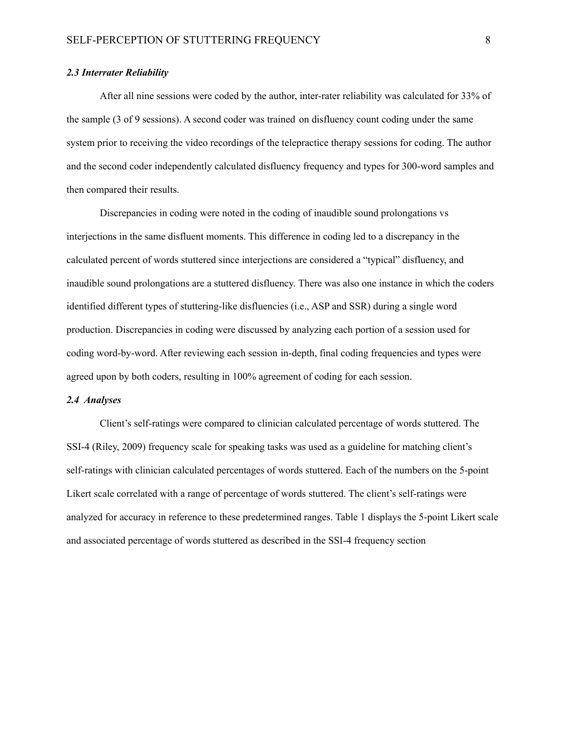#### *2.3 Interrater Reliability*

After all nine sessions were coded by the author, inter-rater reliability was calculated for 33% of the sample (3 of 9 sessions). A second coder was trained on disfluency count coding under the same system prior to receiving the video recordings of the telepractice therapy sessions for coding. The author and the second coder independently calculated disfluency frequency and types for 300-word samples and then compared their results.

Discrepancies in coding were noted in the coding of inaudible sound prolongations vs interjections in the same disfluent moments. This difference in coding led to a discrepancy in the calculated percent of words stuttered since interjections are considered a "typical" disfluency, and inaudible sound prolongations are a stuttered disfluency. There was also one instance in which the coders identified different types of stuttering-like disfluencies (i.e., ASP and SSR) during a single word production. Discrepancies in coding were discussed by analyzing each portion of a session used for coding word-by-word. After reviewing each session in-depth, final coding frequencies and types were agreed upon by both coders, resulting in 100% agreement of coding for each session.

## *2.4 Analyses*

Client's self-ratings were compared to clinician calculated percentage of words stuttered. The SSI-4 (Riley, 2009) frequency scale for speaking tasks was used as a guideline for matching client's self-ratings with clinician calculated percentages of words stuttered. Each of the numbers on the 5-point Likert scale correlated with a range of percentage of words stuttered. The client's self-ratings were analyzed for accuracy in reference to these predetermined ranges. Table 1 displays the 5-point Likert scale and associated percentage of words stuttered as described in the SSI-4 frequency section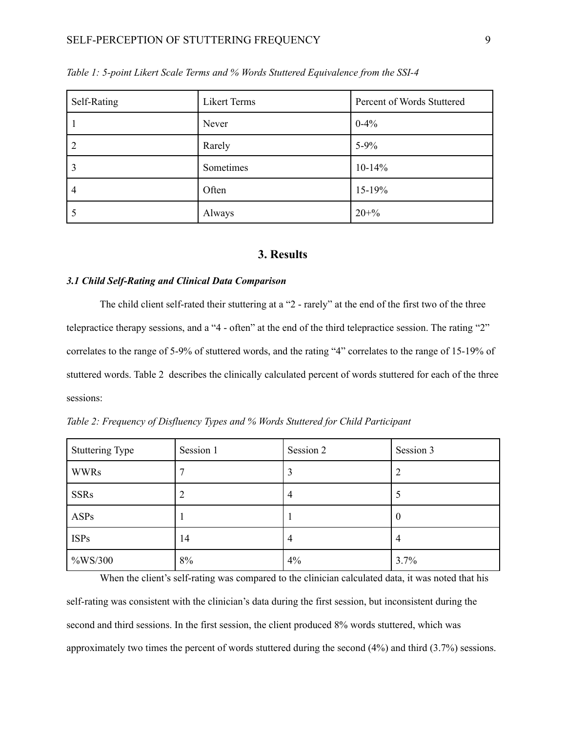| Self-Rating | <b>Likert Terms</b> | Percent of Words Stuttered |
|-------------|---------------------|----------------------------|
|             | Never               | $0 - 4\%$                  |
|             | Rarely              | $5 - 9\%$                  |
| 3           | Sometimes           | $10 - 14%$                 |
| 4           | Often               | $15-19%$                   |
|             | Always              | $20 + \%$                  |

*Table 1: 5-point Likert Scale Terms and % Words Stuttered Equivalence from the SSI-4*

# **3. Results**

# *3.1 Child Self-Rating and Clinical Data Comparison*

The child client self-rated their stuttering at a "2 - rarely" at the end of the first two of the three telepractice therapy sessions, and a "4 - often" at the end of the third telepractice session. The rating "2" correlates to the range of 5-9% of stuttered words, and the rating "4" correlates to the range of 15-19% of stuttered words. Table 2 describes the clinically calculated percent of words stuttered for each of the three sessions:

|  |  | Table 2: Frequency of Disfluency Types and % Words Stuttered for Child Participant |  |  |
|--|--|------------------------------------------------------------------------------------|--|--|
|  |  |                                                                                    |  |  |

| <b>Stuttering Type</b> | Session 1 | Session 2      | Session 3 |
|------------------------|-----------|----------------|-----------|
| <b>WWRs</b>            |           |                | 2         |
| <b>SSRs</b>            |           | $\overline{4}$ |           |
| ASPs                   |           |                | $\theta$  |
| <b>ISPs</b>            | 14        | $\overline{4}$ | 4         |
| $\%WS/300$             | 8%        | 4%             | 3.7%      |

When the client's self-rating was compared to the clinician calculated data, it was noted that his self-rating was consistent with the clinician's data during the first session, but inconsistent during the second and third sessions. In the first session, the client produced 8% words stuttered, which was approximately two times the percent of words stuttered during the second (4%) and third (3.7%) sessions.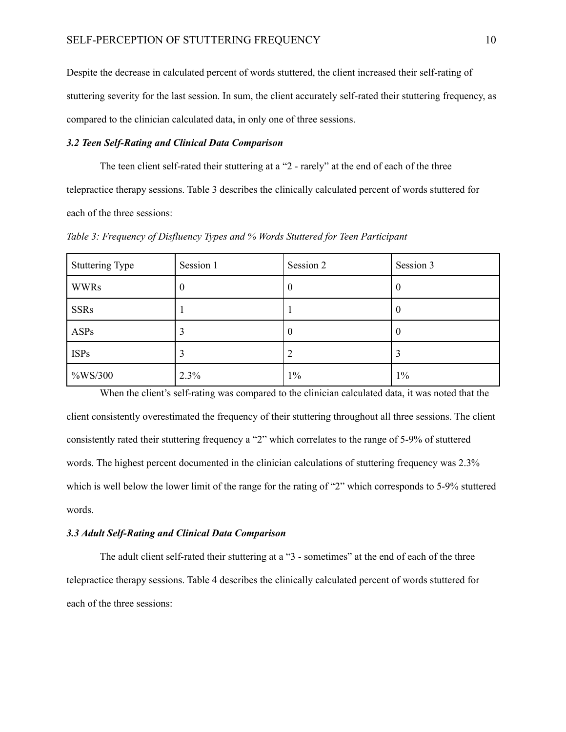Despite the decrease in calculated percent of words stuttered, the client increased their self-rating of stuttering severity for the last session. In sum, the client accurately self-rated their stuttering frequency, as compared to the clinician calculated data, in only one of three sessions.

# *3.2 Teen Self-Rating and Clinical Data Comparison*

The teen client self-rated their stuttering at a "2 - rarely" at the end of each of the three telepractice therapy sessions. Table 3 describes the clinically calculated percent of words stuttered for each of the three sessions:

| <b>Stuttering Type</b> | Session 1 | Session 2 | Session 3 |
|------------------------|-----------|-----------|-----------|
| <b>WWRs</b>            | $\theta$  | v         | $\theta$  |
| <b>SSRs</b>            |           |           | $\theta$  |
| ASPs                   |           | v         | $\theta$  |
| <b>ISPs</b>            |           |           | 3         |
| $\%WS/300$             | 2.3%      | $1\%$     | $1\%$     |

*Table 3: Frequency of Disfluency Types and % Words Stuttered for Teen Participant*

When the client's self-rating was compared to the clinician calculated data, it was noted that the client consistently overestimated the frequency of their stuttering throughout all three sessions. The client consistently rated their stuttering frequency a "2" which correlates to the range of 5-9% of stuttered words. The highest percent documented in the clinician calculations of stuttering frequency was 2.3% which is well below the lower limit of the range for the rating of "2" which corresponds to 5-9% stuttered words.

## *3.3 Adult Self-Rating and Clinical Data Comparison*

The adult client self-rated their stuttering at a "3 - sometimes" at the end of each of the three telepractice therapy sessions. Table 4 describes the clinically calculated percent of words stuttered for each of the three sessions: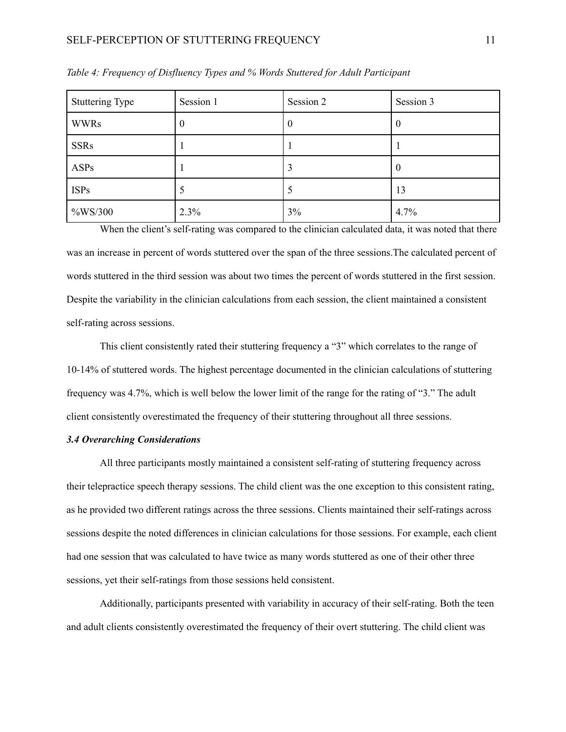## SELF-PERCEPTION OF STUTTERING FREQUENCY 11

| <b>Stuttering Type</b> | Session 1        | Session 2 | Session 3 |
|------------------------|------------------|-----------|-----------|
| <b>WWRs</b>            | $\boldsymbol{0}$ | $\theta$  |           |
| <b>SSRs</b>            |                  |           |           |
| ASPs                   |                  | 3         |           |
| <b>ISPs</b>            | C                | C         | 13        |
| $\%WS/300$             | 2.3%             | 3%        | 4.7%      |

*Table 4: Frequency of Disfluency Types and % Words Stuttered for Adult Participant*

When the client's self-rating was compared to the clinician calculated data, it was noted that there was an increase in percent of words stuttered over the span of the three sessions.The calculated percent of words stuttered in the third session was about two times the percent of words stuttered in the first session. Despite the variability in the clinician calculations from each session, the client maintained a consistent self-rating across sessions.

This client consistently rated their stuttering frequency a "3" which correlates to the range of 10-14% of stuttered words. The highest percentage documented in the clinician calculations of stuttering frequency was 4.7%, which is well below the lower limit of the range for the rating of "3." The adult client consistently overestimated the frequency of their stuttering throughout all three sessions.

#### *3.4 Overarching Considerations*

All three participants mostly maintained a consistent self-rating of stuttering frequency across their telepractice speech therapy sessions. The child client was the one exception to this consistent rating, as he provided two different ratings across the three sessions. Clients maintained their self-ratings across sessions despite the noted differences in clinician calculations for those sessions. For example, each client had one session that was calculated to have twice as many words stuttered as one of their other three sessions, yet their self-ratings from those sessions held consistent.

Additionally, participants presented with variability in accuracy of their self-rating. Both the teen and adult clients consistently overestimated the frequency of their overt stuttering. The child client was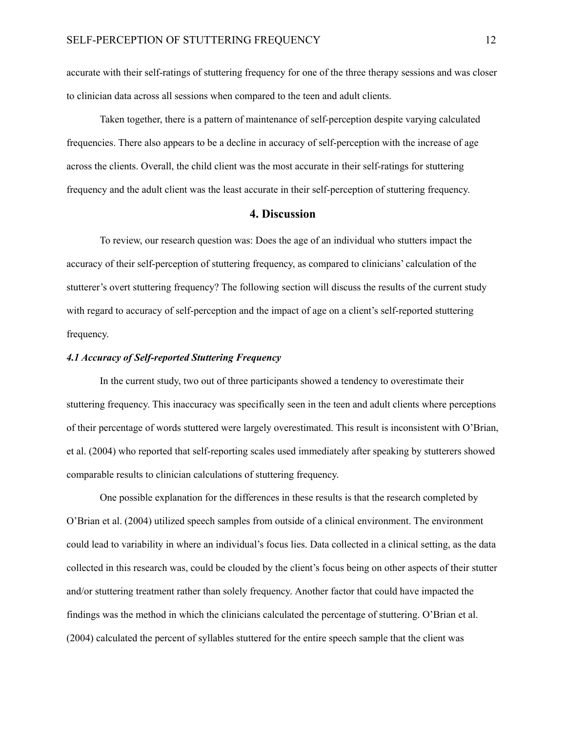accurate with their self-ratings of stuttering frequency for one of the three therapy sessions and was closer to clinician data across all sessions when compared to the teen and adult clients.

Taken together, there is a pattern of maintenance of self-perception despite varying calculated frequencies. There also appears to be a decline in accuracy of self-perception with the increase of age across the clients. Overall, the child client was the most accurate in their self-ratings for stuttering frequency and the adult client was the least accurate in their self-perception of stuttering frequency.

# **4. Discussion**

To review, our research question was: Does the age of an individual who stutters impact the accuracy of their self-perception of stuttering frequency, as compared to clinicians' calculation of the stutterer's overt stuttering frequency? The following section will discuss the results of the current study with regard to accuracy of self-perception and the impact of age on a client's self-reported stuttering frequency.

## *4.1 Accuracy of Self-reported Stuttering Frequency*

In the current study, two out of three participants showed a tendency to overestimate their stuttering frequency. This inaccuracy was specifically seen in the teen and adult clients where perceptions of their percentage of words stuttered were largely overestimated. This result is inconsistent with O'Brian, et al. (2004) who reported that self-reporting scales used immediately after speaking by stutterers showed comparable results to clinician calculations of stuttering frequency.

One possible explanation for the differences in these results is that the research completed by O'Brian et al. (2004) utilized speech samples from outside of a clinical environment. The environment could lead to variability in where an individual's focus lies. Data collected in a clinical setting, as the data collected in this research was, could be clouded by the client's focus being on other aspects of their stutter and/or stuttering treatment rather than solely frequency. Another factor that could have impacted the findings was the method in which the clinicians calculated the percentage of stuttering. O'Brian et al. (2004) calculated the percent of syllables stuttered for the entire speech sample that the client was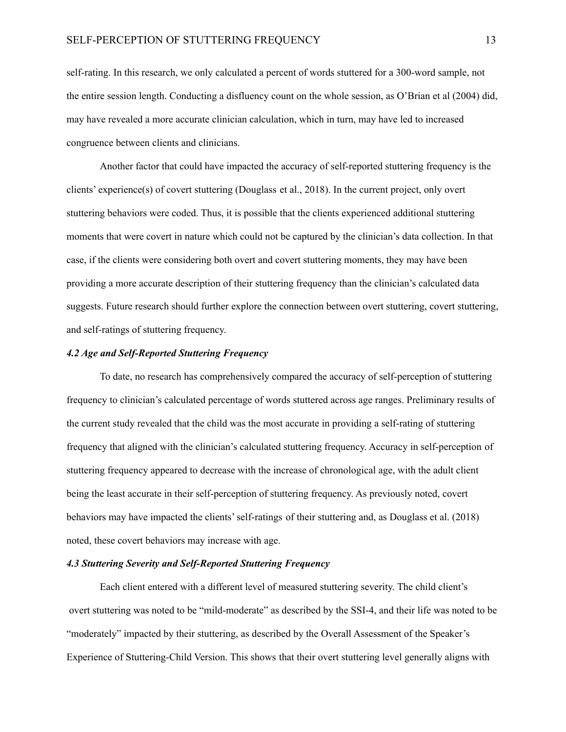self-rating. In this research, we only calculated a percent of words stuttered for a 300-word sample, not the entire session length. Conducting a disfluency count on the whole session, as O'Brian et al (2004) did, may have revealed a more accurate clinician calculation, which in turn, may have led to increased congruence between clients and clinicians.

Another factor that could have impacted the accuracy of self-reported stuttering frequency is the clients' experience(s) of covert stuttering (Douglass et al., 2018). In the current project, only overt stuttering behaviors were coded. Thus, it is possible that the clients experienced additional stuttering moments that were covert in nature which could not be captured by the clinician's data collection. In that case, if the clients were considering both overt and covert stuttering moments, they may have been providing a more accurate description of their stuttering frequency than the clinician's calculated data suggests. Future research should further explore the connection between overt stuttering, covert stuttering, and self-ratings of stuttering frequency.

#### *4.2 Age and Self-Reported Stuttering Frequency*

To date, no research has comprehensively compared the accuracy of self-perception of stuttering frequency to clinician's calculated percentage of words stuttered across age ranges. Preliminary results of the current study revealed that the child was the most accurate in providing a self-rating of stuttering frequency that aligned with the clinician's calculated stuttering frequency. Accuracy in self-perception of stuttering frequency appeared to decrease with the increase of chronological age, with the adult client being the least accurate in their self-perception of stuttering frequency. As previously noted, covert behaviors may have impacted the clients'self-ratings of their stuttering and, as Douglass et al. (2018) noted, these covert behaviors may increase with age.

# *4.3 Stuttering Severity and Self-Reported Stuttering Frequency*

Each client entered with a different level of measured stuttering severity. The child client's overt stuttering was noted to be "mild-moderate" as described by the SSI-4, and their life was noted to be "moderately" impacted by their stuttering, as described by the Overall Assessment of the Speaker's Experience of Stuttering-Child Version. This shows that their overt stuttering level generally aligns with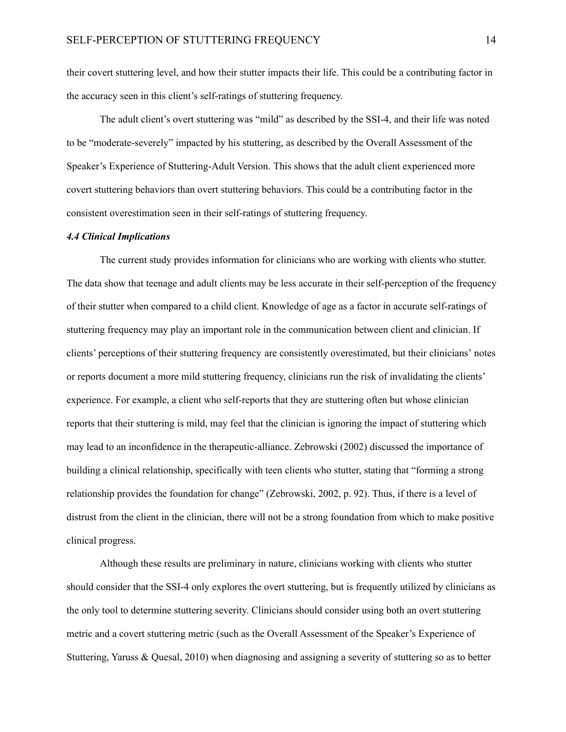their covert stuttering level, and how their stutter impacts their life. This could be a contributing factor in the accuracy seen in this client's self-ratings of stuttering frequency.

The adult client's overt stuttering was "mild" as described by the SSI-4, and their life was noted to be "moderate-severely" impacted by his stuttering, as described by the Overall Assessment of the Speaker's Experience of Stuttering-Adult Version. This shows that the adult client experienced more covert stuttering behaviors than overt stuttering behaviors. This could be a contributing factor in the consistent overestimation seen in their self-ratings of stuttering frequency.

#### *4.4 Clinical Implications*

The current study provides information for clinicians who are working with clients who stutter. The data show that teenage and adult clients may be less accurate in their self-perception of the frequency of their stutter when compared to a child client. Knowledge of age as a factor in accurate self-ratings of stuttering frequency may play an important role in the communication between client and clinician. If clients' perceptions of their stuttering frequency are consistently overestimated, but their clinicians' notes or reports document a more mild stuttering frequency, clinicians run the risk of invalidating the clients' experience. For example, a client who self-reports that they are stuttering often but whose clinician reports that their stuttering is mild, may feel that the clinician is ignoring the impact of stuttering which may lead to an inconfidence in the therapeutic-alliance. Zebrowski (2002) discussed the importance of building a clinical relationship, specifically with teen clients who stutter, stating that "forming a strong relationship provides the foundation for change" (Zebrowski, 2002, p. 92). Thus, if there is a level of distrust from the client in the clinician, there will not be a strong foundation from which to make positive clinical progress.

Although these results are preliminary in nature, clinicians working with clients who stutter should consider that the SSI-4 only explores the overt stuttering, but is frequently utilized by clinicians as the only tool to determine stuttering severity. Clinicians should consider using both an overt stuttering metric and a covert stuttering metric (such as the Overall Assessment of the Speaker's Experience of Stuttering, Yaruss & Quesal, 2010) when diagnosing and assigning a severity of stuttering so as to better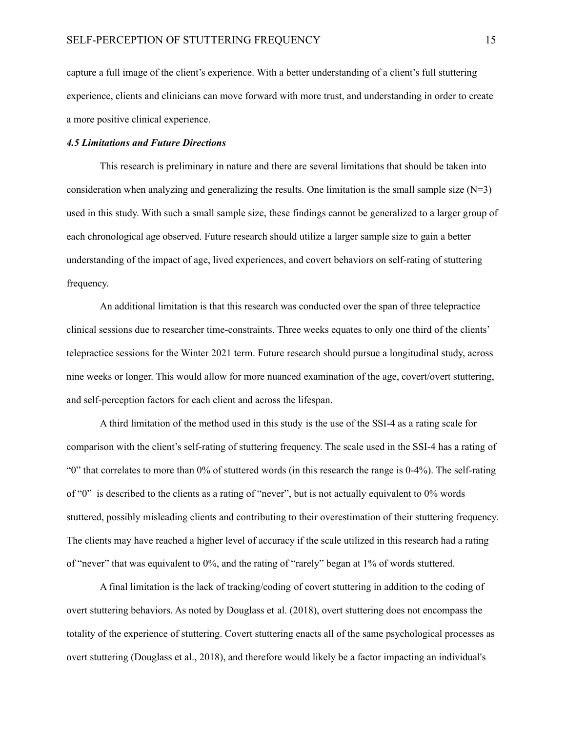capture a full image of the client's experience. With a better understanding of a client's full stuttering experience, clients and clinicians can move forward with more trust, and understanding in order to create a more positive clinical experience.

## *4.5 Limitations and Future Directions*

This research is preliminary in nature and there are several limitations that should be taken into consideration when analyzing and generalizing the results. One limitation is the small sample size  $(N=3)$ used in this study. With such a small sample size, these findings cannot be generalized to a larger group of each chronological age observed. Future research should utilize a larger sample size to gain a better understanding of the impact of age, lived experiences, and covert behaviors on self-rating of stuttering frequency.

An additional limitation is that this research was conducted over the span of three telepractice clinical sessions due to researcher time-constraints. Three weeks equates to only one third of the clients' telepractice sessions for the Winter 2021 term. Future research should pursue a longitudinal study, across nine weeks or longer. This would allow for more nuanced examination of the age, covert/overt stuttering, and self-perception factors for each client and across the lifespan.

A third limitation of the method used in this study is the use of the SSI-4 as a rating scale for comparison with the client's self-rating of stuttering frequency. The scale used in the SSI-4 has a rating of "0" that correlates to more than 0% of stuttered words (in this research the range is 0-4%). The self-rating of "0" is described to the clients as a rating of "never", but is not actually equivalent to 0% words stuttered, possibly misleading clients and contributing to their overestimation of their stuttering frequency. The clients may have reached a higher level of accuracy if the scale utilized in this research had a rating of "never" that was equivalent to 0%, and the rating of "rarely" began at 1% of words stuttered.

A final limitation is the lack of tracking/coding of covert stuttering in addition to the coding of overt stuttering behaviors. As noted by Douglass et al. (2018), overt stuttering does not encompass the totality of the experience of stuttering. Covert stuttering enacts all of the same psychological processes as overt stuttering (Douglass et al., 2018), and therefore would likely be a factor impacting an individual's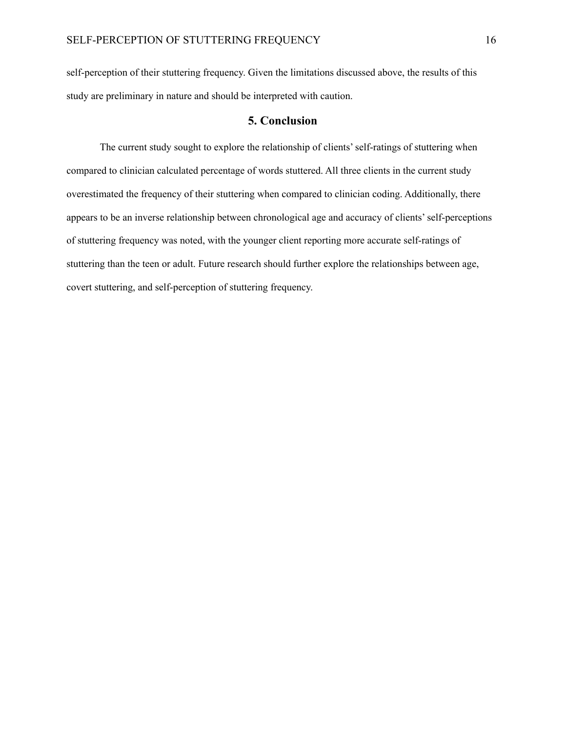self-perception of their stuttering frequency. Given the limitations discussed above, the results of this study are preliminary in nature and should be interpreted with caution.

# **5. Conclusion**

The current study sought to explore the relationship of clients'self-ratings of stuttering when compared to clinician calculated percentage of words stuttered. All three clients in the current study overestimated the frequency of their stuttering when compared to clinician coding. Additionally, there appears to be an inverse relationship between chronological age and accuracy of clients'self-perceptions of stuttering frequency was noted, with the younger client reporting more accurate self-ratings of stuttering than the teen or adult. Future research should further explore the relationships between age, covert stuttering, and self-perception of stuttering frequency.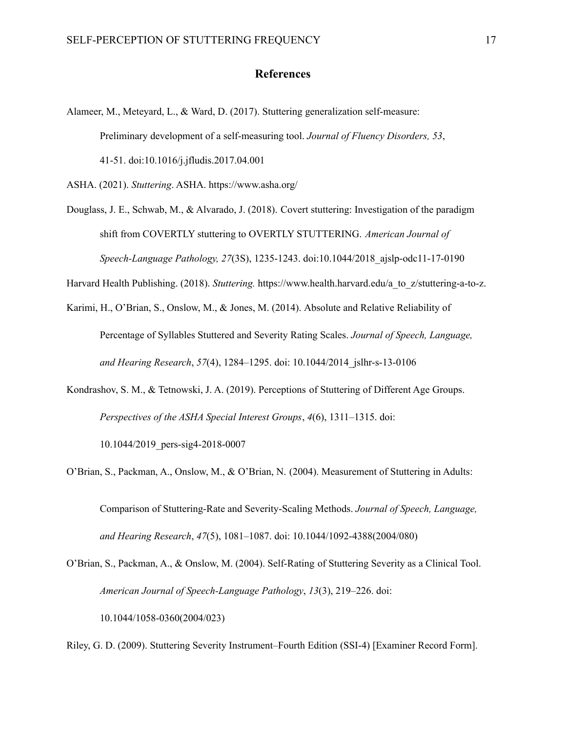# **References**

Alameer, M., Meteyard, L., & Ward, D. (2017). Stuttering generalization self-measure: Preliminary development of a self-measuring tool. *Journal of Fluency Disorders, 53*, 41-51. doi:10.1016/j.jfludis.2017.04.001

ASHA. (2021). *Stuttering*. ASHA. https://www.asha.org/

Douglass, J. E., Schwab, M., & Alvarado, J. (2018). Covert stuttering: Investigation of the paradigm shift from COVERTLY stuttering to OVERTLY STUTTERING. *American Journal of Speech-Language Pathology, 27*(3S), 1235-1243. doi:10.1044/2018\_ajslp-odc11-17-0190

Harvard Health Publishing. (2018). *Stuttering.* https://www.health.harvard.edu/a\_to\_z/stuttering-a-to-z.

- Karimi, H., O'Brian, S., Onslow, M., & Jones, M. (2014). Absolute and Relative Reliability of Percentage of Syllables Stuttered and Severity Rating Scales. *Journal of Speech, Language, and Hearing Research*, *57*(4), 1284–1295. doi: 10.1044/2014\_jslhr-s-13-0106
- Kondrashov, S. M., & Tetnowski, J. A. (2019). Perceptions of Stuttering of Different Age Groups. *Perspectives of the ASHA Special Interest Groups*, *4*(6), 1311–1315. doi:

10.1044/2019\_pers-sig4-2018-0007

O'Brian, S., Packman, A., Onslow, M., & O'Brian, N. (2004). Measurement of Stuttering in Adults:

Comparison of Stuttering-Rate and Severity-Scaling Methods. *Journal of Speech, Language, and Hearing Research*, *47*(5), 1081–1087. doi: 10.1044/1092-4388(2004/080)

O'Brian, S., Packman, A., & Onslow, M. (2004). Self-Rating of Stuttering Severity as a Clinical Tool. *American Journal of Speech-Language Pathology*, *13*(3), 219–226. doi: 10.1044/1058-0360(2004/023)

Riley, G. D. (2009). Stuttering Severity Instrument–Fourth Edition (SSI-4) [Examiner Record Form].